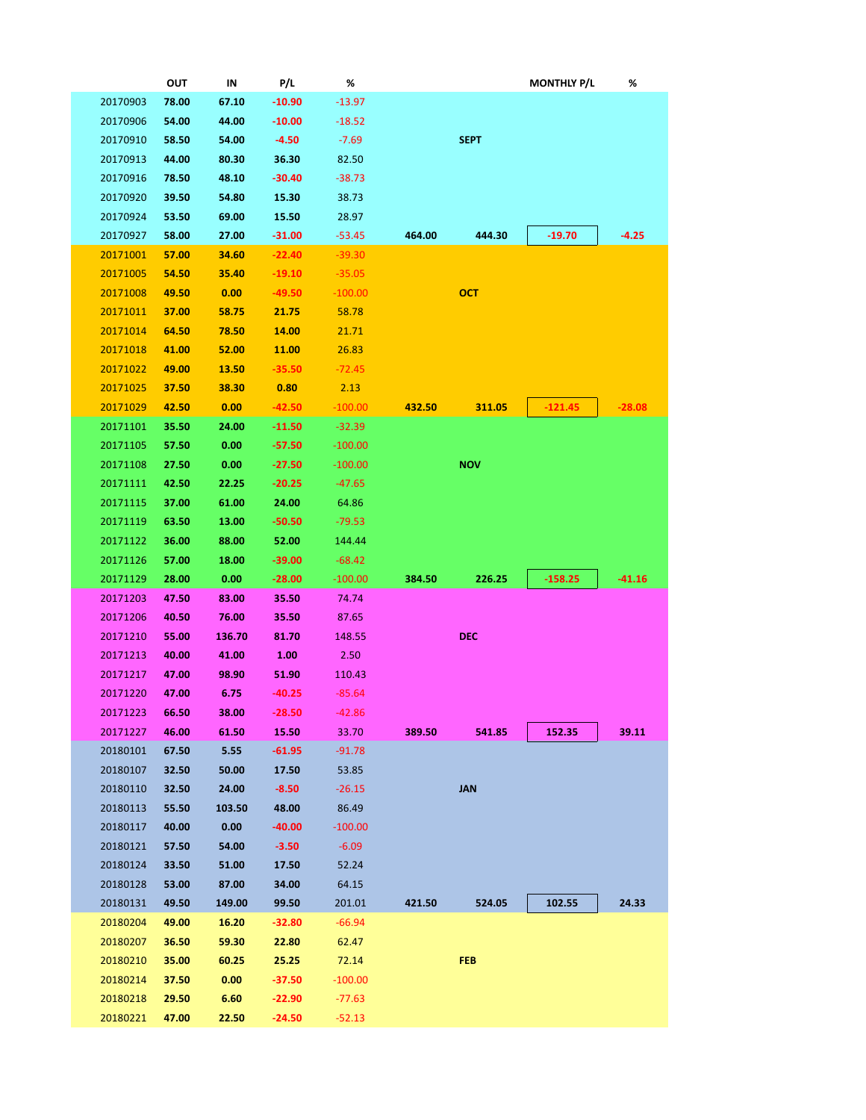|          |                      | ουτ            | IN                | P/L                  | %                    |        |             | <b>MONTHLY P/L</b> | %        |
|----------|----------------------|----------------|-------------------|----------------------|----------------------|--------|-------------|--------------------|----------|
|          | 20170903             | 78.00          | 67.10             | $-10.90$             | $-13.97$             |        |             |                    |          |
|          | 20170906             | 54.00          | 44.00             | $-10.00$             | $-18.52$             |        |             |                    |          |
|          | 20170910             | 58.50          | 54.00             | $-4.50$              | $-7.69$              |        | <b>SEPT</b> |                    |          |
|          | 20170913             | 44.00          | 80.30             | 36.30                | 82.50                |        |             |                    |          |
|          | 20170916             | 78.50          | 48.10             | $-30.40$             | $-38.73$             |        |             |                    |          |
|          | 20170920             | 39.50          | 54.80             | 15.30                | 38.73                |        |             |                    |          |
|          | 20170924             | 53.50          | 69.00             | 15.50                | 28.97                |        |             |                    |          |
|          | 20170927             | 58.00          | 27.00             | $-31.00$             | $-53.45$             | 464.00 | 444.30      | $-19.70$           | -4.25    |
|          | 20171001             | 57.00          | 34.60             | $-22.40$             | $-39.30$             |        |             |                    |          |
|          | 20171005             | 54.50          | 35.40             | $-19.10$             | $-35.05$             |        |             |                    |          |
|          | 20171008             | 49.50          | 0.00              | $-49.50$             | $-100.00$            |        | <b>OCT</b>  |                    |          |
|          | 20171011             | 37.00          | 58.75             | 21.75                | 58.78                |        |             |                    |          |
|          | 20171014             | 64.50          | 78.50             | 14.00                | 21.71                |        |             |                    |          |
|          | 20171018             | 41.00          | 52.00             | 11.00                | 26.83                |        |             |                    |          |
|          | 20171022             | 49.00          | 13.50             | $-35.50$             | $-72.45$             |        |             |                    |          |
|          | 20171025             | 37.50          | 38.30             | 0.80                 | 2.13                 |        |             |                    |          |
|          | 20171029             | 42.50          | 0.00              | $-42.50$             | $-100.00$            | 432.50 | 311.05      | $-121.45$          | $-28.08$ |
|          | 20171101             | 35.50          | 24.00             | $-11.50$             | $-32.39$             |        |             |                    |          |
|          | 20171105             | 57.50          | 0.00              | $-57.50$             | $-100.00$            |        |             |                    |          |
|          | 20171108             | 27.50          | 0.00              | $-27.50$             | $-100.00$            |        | <b>NOV</b>  |                    |          |
|          | 20171111             | 42.50          | 22.25             | $-20.25$             | $-47.65$             |        |             |                    |          |
|          | 20171115             | 37.00          | 61.00             | 24.00                | 64.86                |        |             |                    |          |
|          | 20171119             | 63.50          | 13.00             | $-50.50$             | $-79.53$             |        |             |                    |          |
|          | 20171122             | 36.00          | 88.00             | 52.00                | 144.44               |        |             |                    |          |
|          | 20171126             | 57.00          | 18.00             | -39.00               | $-68.42$             |        |             |                    |          |
| 20171129 |                      |                |                   |                      |                      |        |             |                    | $-41.16$ |
|          |                      | 28.00          | 0.00              | $-28.00$             | $-100.00$            | 384.50 | 226.25      | $-158.25$          |          |
|          | 20171203             | 47.50          | 83.00             | 35.50                | 74.74                |        |             |                    |          |
|          | 20171206             | 40.50          | 76.00             | 35.50                | 87.65                |        |             |                    |          |
|          | 20171210             | 55.00          | 136.70            | 81.70                | 148.55               |        | <b>DEC</b>  |                    |          |
|          | 20171213             | 40.00          | 41.00             | 1.00                 | 2.50                 |        |             |                    |          |
|          | 20171217             | 47.00          | 98.90             | 51.90                | 110.43               |        |             |                    |          |
|          | 20171220             | 47.00          | 6.75              | -40.25               | $-85.64$             |        |             |                    |          |
|          | 20171223             | 66.50          | 38.00             | $-28.50$             | $-42.86$             |        |             |                    |          |
|          | 20171227             | 46.00          | 61.50             | 15.50                | 33.70                | 389.50 | 541.85      | 152.35             | 39.11    |
|          | 20180101             | 67.50          | 5.55              | $-61.95$             | $-91.78$             |        |             |                    |          |
|          | 20180107             | 32.50          | 50.00             | 17.50                | 53.85                |        |             |                    |          |
|          | 20180110             | 32.50          | 24.00             | $-8.50$              | $-26.15$             |        | <b>JAN</b>  |                    |          |
|          | 20180113             | 55.50          | 103.50            | 48.00                | 86.49                |        |             |                    |          |
|          | 20180117             | 40.00          | 0.00 <sub>1</sub> | $-40.00$             | $-100.00$            |        |             |                    |          |
|          | 20180121             | 57.50          | 54.00             | $-3.50$              | $-6.09$              |        |             |                    |          |
|          | 20180124             | 33.50          | 51.00             | 17.50                | 52.24                |        |             |                    |          |
|          | 20180128             | 53.00          | 87.00             | 34.00                | 64.15                |        |             |                    |          |
|          | 20180131             | 49.50          | 149.00            | 99.50                | 201.01               | 421.50 | 524.05      | 102.55             | 24.33    |
|          | 20180204             | 49.00          | 16.20             | $-32.80$             | $-66.94$             |        |             |                    |          |
|          | 20180207             | 36.50          | 59.30             | 22.80                | 62.47                |        |             |                    |          |
|          | 20180210             | 35.00          | 60.25             | 25.25                | 72.14                |        | <b>FEB</b>  |                    |          |
|          | 20180214             | 37.50          | 0.00 <sub>1</sub> | $-37.50$             | $-100.00$            |        |             |                    |          |
|          | 20180218<br>20180221 | 29.50<br>47.00 | 6.60<br>22.50     | $-22.90$<br>$-24.50$ | $-77.63$<br>$-52.13$ |        |             |                    |          |